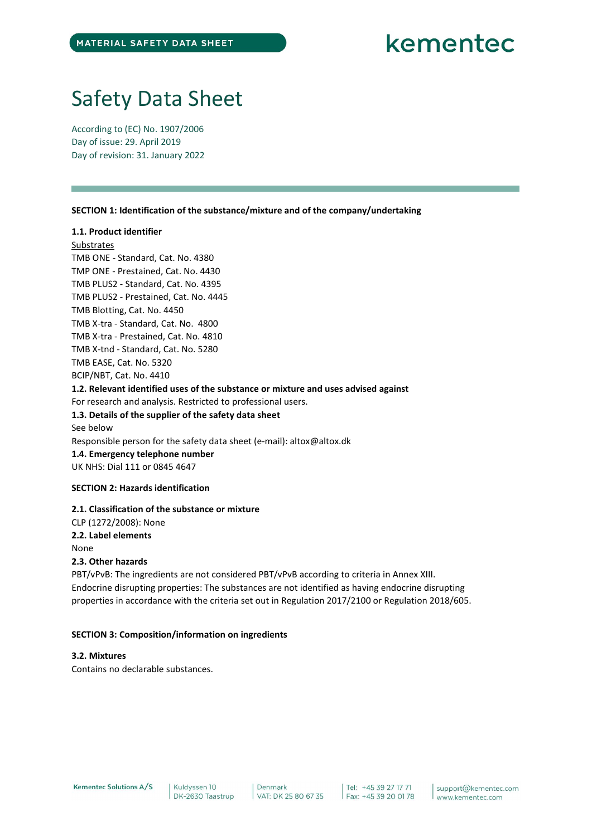## Safety Data Sheet

According to (EC) No. 1907/2006 Day of issue: 29. April 2019 Day of revision: 31. January 2022

SECTION 1: Identification of the substance/mixture and of the company/undertaking

## 1.1. Product identifier

#### **Substrates**

TMB ONE - Standard, Cat. No. 4380 TMP ONE - Prestained, Cat. No. 4430 TMB PLUS2 - Standard, Cat. No. 4395 TMB PLUS2 - Prestained, Cat. No. 4445 TMB Blotting, Cat. No. 4450 TMB X-tra - Standard, Cat. No. 4800 TMB X-tra - Prestained, Cat. No. 4810 TMB X-tnd - Standard, Cat. No. 5280 TMB EASE, Cat. No. 5320 BCIP/NBT, Cat. No. 4410 1.2. Relevant identified uses of the substance or mixture and uses advised against For research and analysis. Restricted to professional users. 1.3. Details of the supplier of the safety data sheet See below Responsible person for the safety data sheet (e-mail): altox@altox.dk 1.4. Emergency telephone number UK NHS: Dial 111 or 0845 4647

## SECTION 2: Hazards identification

## 2.1. Classification of the substance or mixture

CLP (1272/2008): None 2.2. Label elements None

## 2.3. Other hazards

PBT/vPvB: The ingredients are not considered PBT/vPvB according to criteria in Annex XIII. Endocrine disrupting properties: The substances are not identified as having endocrine disrupting properties in accordance with the criteria set out in Regulation 2017/2100 or Regulation 2018/605.

#### SECTION 3: Composition/information on ingredients

## 3.2. Mixtures

Contains no declarable substances.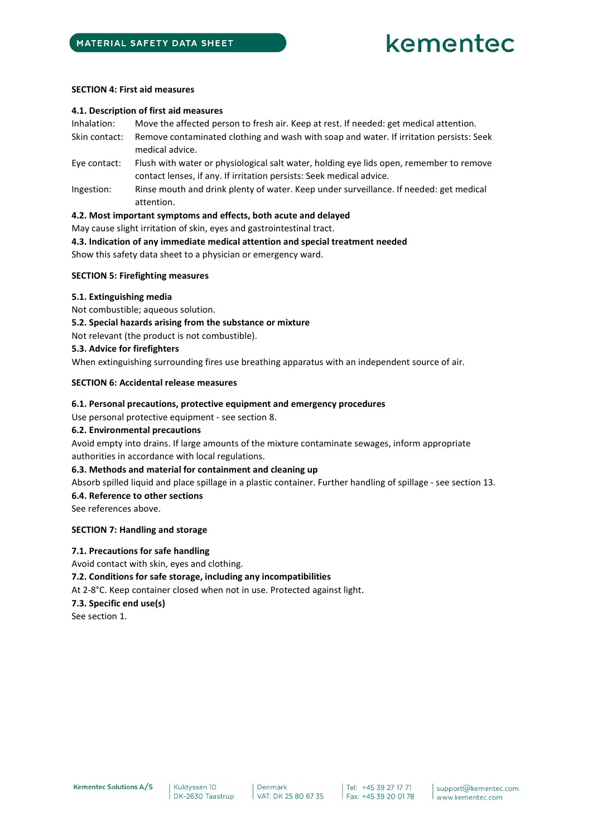#### SECTION 4: First aid measures

#### 4.1. Description of first aid measures

Inhalation: Move the affected person to fresh air. Keep at rest. If needed: get medical attention.

- Skin contact: Remove contaminated clothing and wash with soap and water. If irritation persists: Seek medical advice.
- Eye contact: Flush with water or physiological salt water, holding eye lids open, remember to remove contact lenses, if any. If irritation persists: Seek medical advice.
- Ingestion: Rinse mouth and drink plenty of water. Keep under surveillance. If needed: get medical attention.

#### 4.2. Most important symptoms and effects, both acute and delayed

May cause slight irritation of skin, eyes and gastrointestinal tract.

4.3. Indication of any immediate medical attention and special treatment needed Show this safety data sheet to a physician or emergency ward.

## SECTION 5: Firefighting measures

#### 5.1. Extinguishing media

Not combustible; aqueous solution.

5.2. Special hazards arising from the substance or mixture

Not relevant (the product is not combustible).

#### 5.3. Advice for firefighters

When extinguishing surrounding fires use breathing apparatus with an independent source of air.

#### SECTION 6: Accidental release measures

## 6.1. Personal precautions, protective equipment and emergency procedures

Use personal protective equipment - see section 8.

## 6.2. Environmental precautions

Avoid empty into drains. If large amounts of the mixture contaminate sewages, inform appropriate authorities in accordance with local regulations.

## 6.3. Methods and material for containment and cleaning up

Absorb spilled liquid and place spillage in a plastic container. Further handling of spillage - see section 13.

## 6.4. Reference to other sections

See references above.

## SECTION 7: Handling and storage

## 7.1. Precautions for safe handling

Avoid contact with skin, eyes and clothing. 7.2. Conditions for safe storage, including any incompatibilities At 2-8°C. Keep container closed when not in use. Protected against light. 7.3. Specific end use(s) See section 1.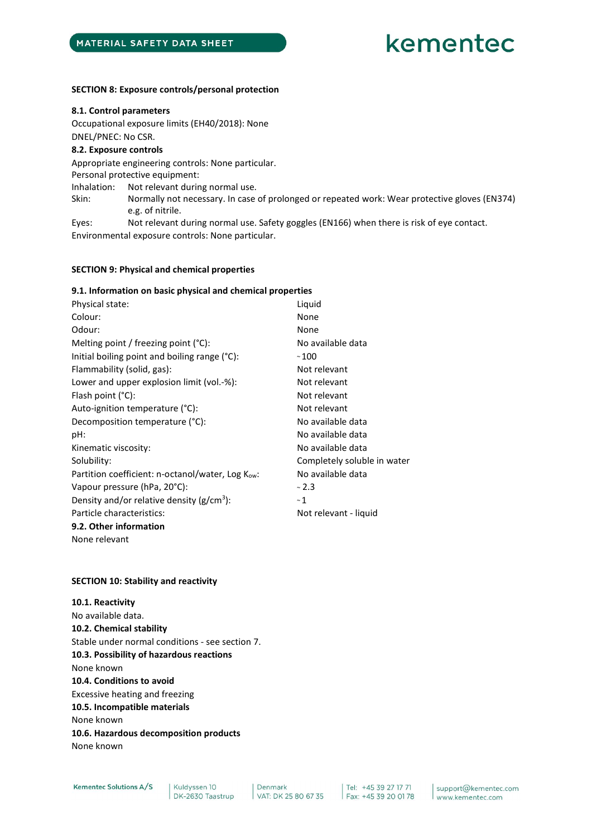#### SECTION 8: Exposure controls/personal protection

#### 8.1. Control parameters

Occupational exposure limits (EH40/2018): None DNEL/PNEC: No CSR.

#### 8.2. Exposure controls

Appropriate engineering controls: None particular. Personal protective equipment: Inhalation: Not relevant during normal use. Skin: Normally not necessary. In case of prolonged or repeated work: Wear protective gloves (EN374) e.g. of nitrile. Eyes: Not relevant during normal use. Safety goggles (EN166) when there is risk of eye contact. Environmental exposure controls: None particular.

#### SECTION 9: Physical and chemical properties

## 9.1. Information on basic physical and chemical properties

| Physical state:                                  | Liquid                      |
|--------------------------------------------------|-----------------------------|
| Colour:                                          | None                        |
| Odour:                                           | None                        |
| Melting point / freezing point $(°C)$ :          | No available data           |
| Initial boiling point and boiling range (°C):    | $~\sim$ 100                 |
| Flammability (solid, gas):                       | Not relevant                |
| Lower and upper explosion limit (vol.-%):        | Not relevant                |
| Flash point $(^{\circ}C)$ :                      | Not relevant                |
| Auto-ignition temperature (°C):                  | Not relevant                |
| Decomposition temperature (°C):                  | No available data           |
| pH:                                              | No available data           |
| Kinematic viscosity:                             | No available data           |
| Solubility:                                      | Completely soluble in water |
| Partition coefficient: n-octanol/water, Log Kow: | No available data           |
| Vapour pressure (hPa, 20°C):                     | ~2.3                        |
| Density and/or relative density ( $g/cm^3$ ):    | ~1                          |
| Particle characteristics:                        | Not relevant - liquid       |
| 9.2. Other information                           |                             |
| None relevant                                    |                             |

#### SECTION 10: Stability and reactivity

10.1. Reactivity No available data. 10.2. Chemical stability Stable under normal conditions - see section 7. 10.3. Possibility of hazardous reactions None known 10.4. Conditions to avoid Excessive heating and freezing 10.5. Incompatible materials None known 10.6. Hazardous decomposition products None known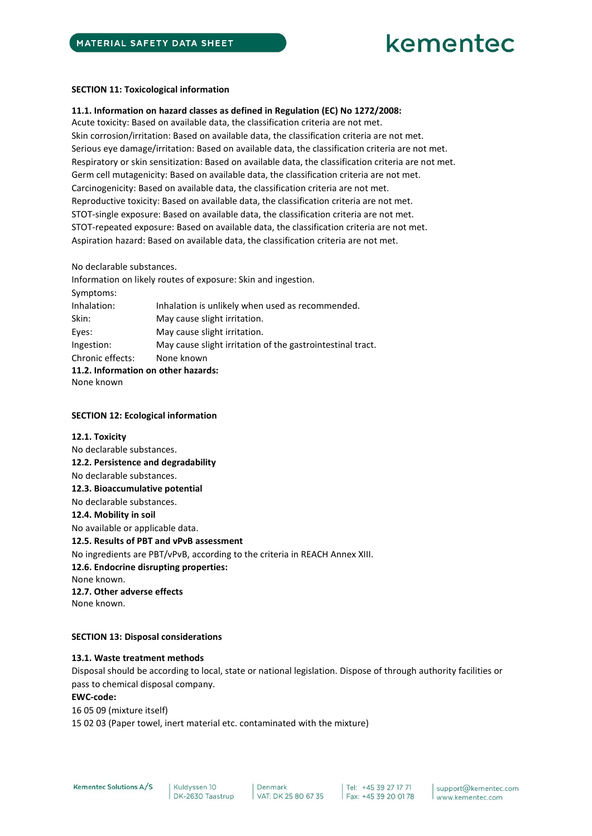#### SECTION 11: Toxicological information

### 11.1. Information on hazard classes as defined in Regulation (EC) No 1272/2008:

Acute toxicity: Based on available data, the classification criteria are not met. Skin corrosion/irritation: Based on available data, the classification criteria are not met. Serious eye damage/irritation: Based on available data, the classification criteria are not met. Respiratory or skin sensitization: Based on available data, the classification criteria are not met. Germ cell mutagenicity: Based on available data, the classification criteria are not met. Carcinogenicity: Based on available data, the classification criteria are not met. Reproductive toxicity: Based on available data, the classification criteria are not met. STOT-single exposure: Based on available data, the classification criteria are not met. STOT-repeated exposure: Based on available data, the classification criteria are not met. Aspiration hazard: Based on available data, the classification criteria are not met.

#### No declarable substances.

Information on likely routes of exposure: Skin and ingestion. Symptoms: Inhalation: Inhalation is unlikely when used as recommended. Skin: May cause slight irritation. Eyes: May cause slight irritation. Ingestion: May cause slight irritation of the gastrointestinal tract. Chronic effects: None known 11.2. Information on other hazards: None known

#### SECTION 12: Ecological information

## 12.1. Toxicity No declarable substances. 12.2. Persistence and degradability No declarable substances. 12.3. Bioaccumulative potential No declarable substances. 12.4. Mobility in soil No available or applicable data. 12.5. Results of PBT and vPvB assessment No ingredients are PBT/vPvB, according to the criteria in REACH Annex XIII. 12.6. Endocrine disrupting properties: None known. 12.7. Other adverse effects None known.

## SECTION 13: Disposal considerations

#### 13.1. Waste treatment methods

Disposal should be according to local, state or national legislation. Dispose of through authority facilities or pass to chemical disposal company.

#### EWC-code:

16 05 09 (mixture itself) 15 02 03 (Paper towel, inert material etc. contaminated with the mixture)